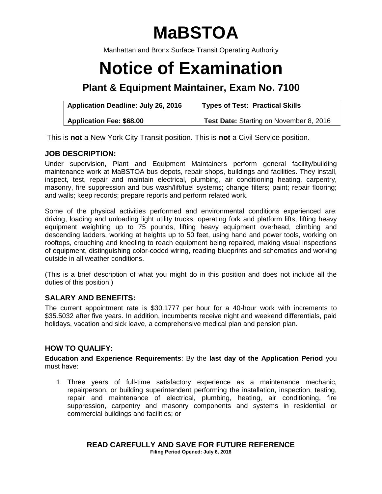# **MaBSTOA**

Manhattan and Bronx Surface Transit Operating Authority

# **Notice of Examination**

# **Plant & Equipment Maintainer, Exam No. 7100**

| <b>Application Deadline: July 26, 2016</b> | <b>Types of Test: Practical Skills</b>         |
|--------------------------------------------|------------------------------------------------|
| <b>Application Fee: \$68.00</b>            | <b>Test Date: Starting on November 8, 2016</b> |

This is **not** a New York City Transit position. This is **not** a Civil Service position.

# **JOB DESCRIPTION:**

Under supervision, Plant and Equipment Maintainers perform general facility/building maintenance work at MaBSTOA bus depots, repair shops, buildings and facilities. They install, inspect, test, repair and maintain electrical, plumbing, air conditioning heating, carpentry, masonry, fire suppression and bus wash/lift/fuel systems; change filters; paint; repair flooring; and walls; keep records; prepare reports and perform related work.

Some of the physical activities performed and environmental conditions experienced are: driving, loading and unloading light utility trucks, operating fork and platform lifts, lifting heavy equipment weighting up to 75 pounds, lifting heavy equipment overhead, climbing and descending ladders, working at heights up to 50 feet, using hand and power tools, working on rooftops, crouching and kneeling to reach equipment being repaired, making visual inspections of equipment, distinguishing color-coded wiring, reading blueprints and schematics and working outside in all weather conditions.

(This is a brief description of what you might do in this position and does not include all the duties of this position.)

# **SALARY AND BENEFITS:**

The current appointment rate is \$30.1777 per hour for a 40-hour work with increments to \$35.5032 after five years. In addition, incumbents receive night and weekend differentials, paid holidays, vacation and sick leave, a comprehensive medical plan and pension plan.

# **HOW TO QUALIFY:**

**Education and Experience Requirements**: By the **last day of the Application Period** you must have:

1. Three years of full-time satisfactory experience as a maintenance mechanic, repairperson, or building superintendent performing the installation, inspection, testing, repair and maintenance of electrical, plumbing, heating, air conditioning, fire suppression, carpentry and masonry components and systems in residential or commercial buildings and facilities; or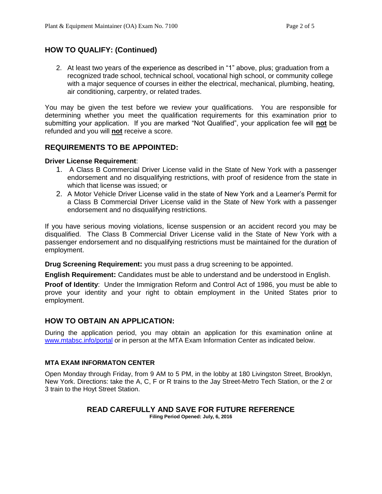# **HOW TO QUALIFY: (Continued)**

2. At least two years of the experience as described in "1" above, plus; graduation from a recognized trade school, technical school, vocational high school, or community college with a major sequence of courses in either the electrical, mechanical, plumbing, heating, air conditioning, carpentry, or related trades.

You may be given the test before we review your qualifications. You are responsible for determining whether you meet the qualification requirements for this examination prior to submitting your application. If you are marked "Not Qualified", your application fee will **not** be refunded and you will **not** receive a score.

### **REQUIREMENTS TO BE APPOINTED:**

#### **Driver License Requirement**:

- 1. A Class B Commercial Driver License valid in the State of New York with a passenger endorsement and no disqualifying restrictions, with proof of residence from the state in which that license was issued; or
- 2. A Motor Vehicle Driver License valid in the state of New York and a Learner's Permit for a Class B Commercial Driver License valid in the State of New York with a passenger endorsement and no disqualifying restrictions.

If you have serious moving violations, license suspension or an accident record you may be disqualified. The Class B Commercial Driver License valid in the State of New York with a passenger endorsement and no disqualifying restrictions must be maintained for the duration of employment.

**Drug Screening Requirement:** you must pass a drug screening to be appointed.

**English Requirement:** Candidates must be able to understand and be understood in English.

**Proof of Identity**: Under the Immigration Reform and Control Act of 1986, you must be able to prove your identity and your right to obtain employment in the United States prior to employment.

### **HOW TO OBTAIN AN APPLICATION:**

During the application period, you may obtain an application for this examination online at [www.mtabsc.info/portal](http://www.mtabsc.info/portal) or in person at the MTA Exam Information Center as indicated below.

#### **MTA EXAM INFORMATON CENTER**

Open Monday through Friday, from 9 AM to 5 PM, in the lobby at 180 Livingston Street, Brooklyn, New York. Directions: take the A, C, F or R trains to the Jay Street-Metro Tech Station, or the 2 or 3 train to the Hoyt Street Station.

#### **READ CAREFULLY AND SAVE FOR FUTURE REFERENCE Filing Period Opened: July, 6, 2016**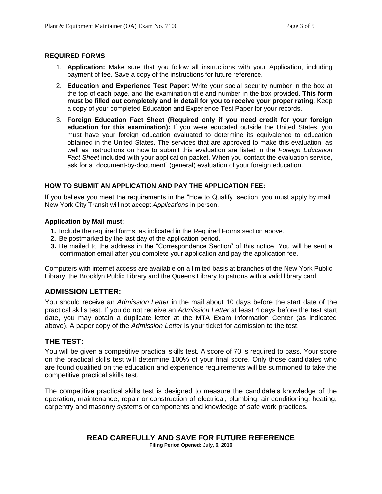#### **REQUIRED FORMS**

- 1. **Application:** Make sure that you follow all instructions with your Application, including payment of fee. Save a copy of the instructions for future reference.
- 2. **Education and Experience Test Paper**: Write your social security number in the box at the top of each page, and the examination title and number in the box provided. **This form must be filled out completely and in detail for you to receive your proper rating.** Keep a copy of your completed Education and Experience Test Paper for your records.
- 3. **Foreign Education Fact Sheet (Required only if you need credit for your foreign education for this examination):** If you were educated outside the United States, you must have your foreign education evaluated to determine its equivalence to education obtained in the United States. The services that are approved to make this evaluation, as well as instructions on how to submit this evaluation are listed in the *Foreign Education Fact Sheet* included with your application packet. When you contact the evaluation service, ask for a "document-by-document" (general) evaluation of your foreign education.

#### **HOW TO SUBMIT AN APPLICATION AND PAY THE APPLICATION FEE:**

If you believe you meet the requirements in the "How to Qualify" section, you must apply by mail. New York City Transit will not accept *Applications* in person.

#### **Application by Mail must:**

- **1.** Include the required forms, as indicated in the Required Forms section above.
- **2.** Be postmarked by the last day of the application period.
- **3.** Be mailed to the address in the "Correspondence Section" of this notice. You will be sent a confirmation email after you complete your application and pay the application fee.

Computers with internet access are available on a limited basis at branches of the New York Public Library, the Brooklyn Public Library and the Queens Library to patrons with a valid library card.

# **ADMISSION LETTER:**

You should receive an *Admission Letter* in the mail about 10 days before the start date of the practical skills test. If you do not receive an *Admission Letter* at least 4 days before the test start date, you may obtain a duplicate letter at the MTA Exam Information Center (as indicated above). A paper copy of the *Admission Letter* is your ticket for admission to the test.

#### **THE TEST:**

You will be given a competitive practical skills test. A score of 70 is required to pass. Your score on the practical skills test will determine 100% of your final score. Only those candidates who are found qualified on the education and experience requirements will be summoned to take the competitive practical skills test.

The competitive practical skills test is designed to measure the candidate's knowledge of the operation, maintenance, repair or construction of electrical, plumbing, air conditioning, heating, carpentry and masonry systems or components and knowledge of safe work practices.

#### **READ CAREFULLY AND SAVE FOR FUTURE REFERENCE Filing Period Opened: July, 6, 2016**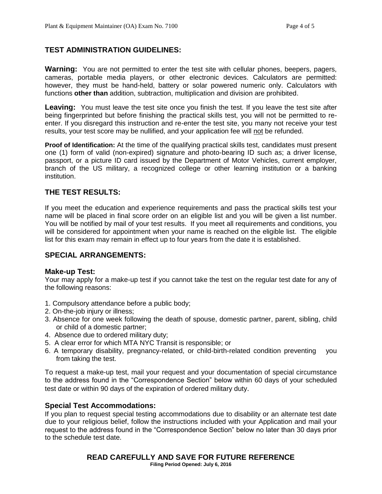# **TEST ADMINISTRATION GUIDELINES:**

**Warning:** You are not permitted to enter the test site with cellular phones, beepers, pagers, cameras, portable media players, or other electronic devices. Calculators are permitted: however, they must be hand-held, battery or solar powered numeric only. Calculators with functions **other than** addition, subtraction, multiplication and division are prohibited.

Leaving: You must leave the test site once you finish the test. If you leave the test site after being fingerprinted but before finishing the practical skills test, you will not be permitted to reenter. If you disregard this instruction and re-enter the test site, you many not receive your test results, your test score may be nullified, and your application fee will not be refunded.

**Proof of Identification:** At the time of the qualifying practical skills test, candidates must present one (1) form of valid (non-expired) signature and photo-bearing ID such as; a driver license, passport, or a picture ID card issued by the Department of Motor Vehicles, current employer, branch of the US military, a recognized college or other learning institution or a banking institution.

# **THE TEST RESULTS:**

If you meet the education and experience requirements and pass the practical skills test your name will be placed in final score order on an eligible list and you will be given a list number. You will be notified by mail of your test results. If you meet all requirements and conditions, you will be considered for appointment when your name is reached on the eligible list. The eligible list for this exam may remain in effect up to four years from the date it is established.

# **SPECIAL ARRANGEMENTS:**

#### **Make-up Test:**

Your may apply for a make-up test if you cannot take the test on the regular test date for any of the following reasons:

- 1. Compulsory attendance before a public body;
- 2. On-the-job injury or illness;
- 3. Absence for one week following the death of spouse, domestic partner, parent, sibling, child or child of a domestic partner;
- 4. Absence due to ordered military duty;
- 5. A clear error for which MTA NYC Transit is responsible; or
- 6. A temporary disability, pregnancy-related, or child-birth-related condition preventing you from taking the test.

To request a make-up test, mail your request and your documentation of special circumstance to the address found in the "Correspondence Section" below within 60 days of your scheduled test date or within 90 days of the expiration of ordered military duty.

#### **Special Test Accommodations:**

If you plan to request special testing accommodations due to disability or an alternate test date due to your religious belief, follow the instructions included with your Application and mail your request to the address found in the "Correspondence Section" below no later than 30 days prior to the schedule test date.